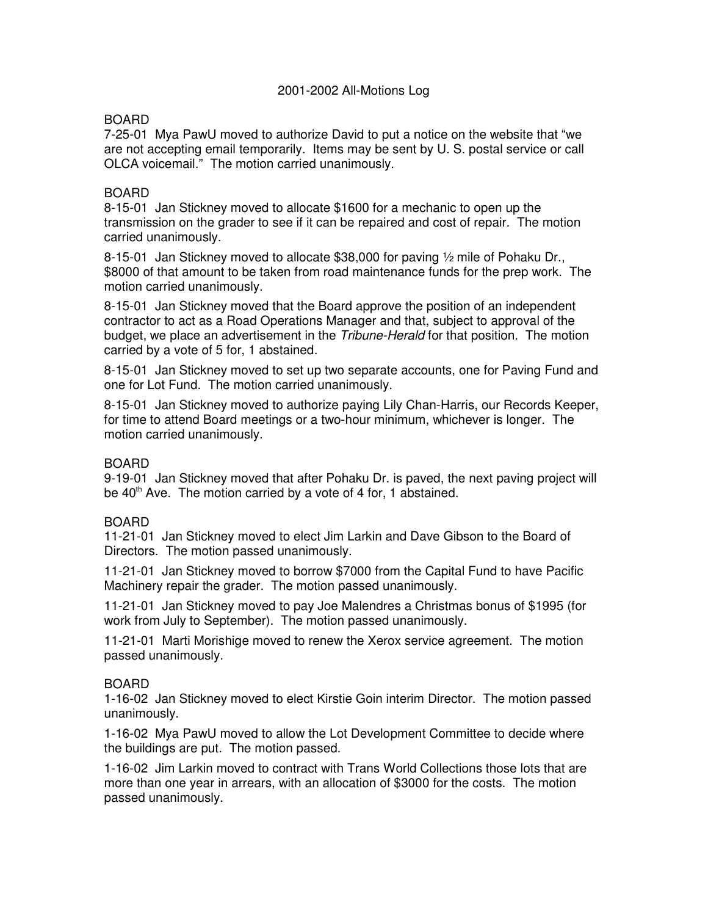### 2001-2002 All-Motions Log

## BOARD

7-25-01 Mya PawU moved to authorize David to put a notice on the website that "we are not accepting email temporarily. Items may be sent by U. S. postal service or call OLCA voicemail." The motion carried unanimously.

### BOARD

8-15-01 Jan Stickney moved to allocate \$1600 for a mechanic to open up the transmission on the grader to see if it can be repaired and cost of repair. The motion carried unanimously.

8-15-01 Jan Stickney moved to allocate \$38,000 for paving ½ mile of Pohaku Dr., \$8000 of that amount to be taken from road maintenance funds for the prep work. The motion carried unanimously.

8-15-01 Jan Stickney moved that the Board approve the position of an independent contractor to act as a Road Operations Manager and that, subject to approval of the budget, we place an advertisement in the Tribune-Herald for that position. The motion carried by a vote of 5 for, 1 abstained.

8-15-01 Jan Stickney moved to set up two separate accounts, one for Paving Fund and one for Lot Fund. The motion carried unanimously.

8-15-01 Jan Stickney moved to authorize paying Lily Chan-Harris, our Records Keeper, for time to attend Board meetings or a two-hour minimum, whichever is longer. The motion carried unanimously.

### BOARD

9-19-01 Jan Stickney moved that after Pohaku Dr. is paved, the next paving project will be 40<sup>th</sup> Ave. The motion carried by a vote of 4 for, 1 abstained.

### BOARD

11-21-01 Jan Stickney moved to elect Jim Larkin and Dave Gibson to the Board of Directors. The motion passed unanimously.

11-21-01 Jan Stickney moved to borrow \$7000 from the Capital Fund to have Pacific Machinery repair the grader. The motion passed unanimously.

11-21-01 Jan Stickney moved to pay Joe Malendres a Christmas bonus of \$1995 (for work from July to September). The motion passed unanimously.

11-21-01 Marti Morishige moved to renew the Xerox service agreement. The motion passed unanimously.

#### BOARD

1-16-02 Jan Stickney moved to elect Kirstie Goin interim Director. The motion passed unanimously.

1-16-02 Mya PawU moved to allow the Lot Development Committee to decide where the buildings are put. The motion passed.

1-16-02 Jim Larkin moved to contract with Trans World Collections those lots that are more than one year in arrears, with an allocation of \$3000 for the costs. The motion passed unanimously.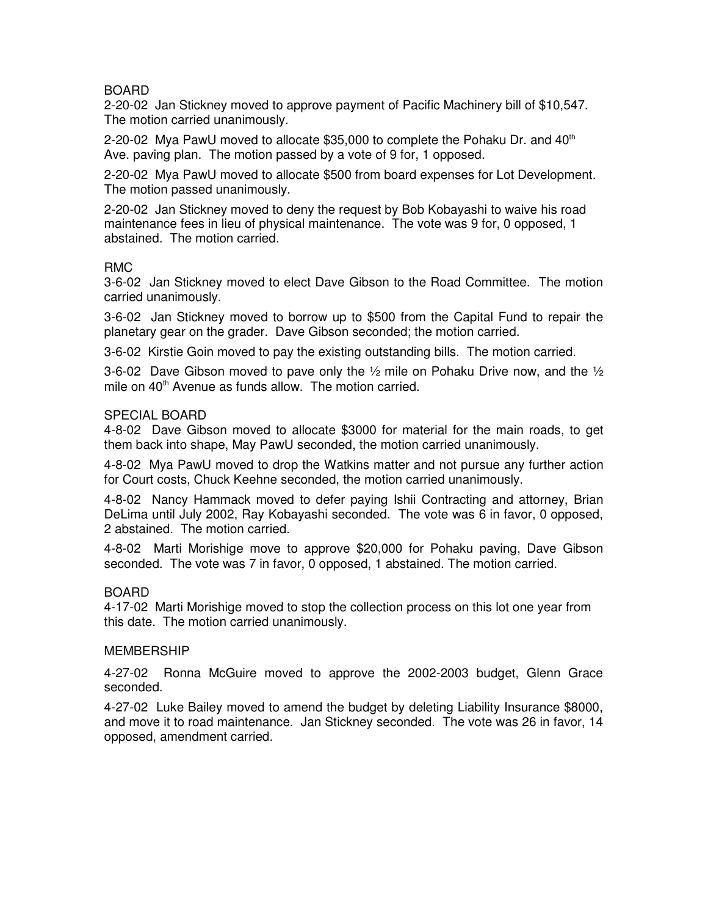# BOARD

2-20-02 Jan Stickney moved to approve payment of Pacific Machinery bill of \$10,547. The motion carried unanimously.

2-20-02 Mya PawU moved to allocate  $$35,000$  to complete the Pohaku Dr. and  $40<sup>th</sup>$ Ave. paving plan. The motion passed by a vote of 9 for, 1 opposed.

2-20-02 Mya PawU moved to allocate \$500 from board expenses for Lot Development. The motion passed unanimously.

2-20-02 Jan Stickney moved to deny the request by Bob Kobayashi to waive his road maintenance fees in lieu of physical maintenance. The vote was 9 for, 0 opposed, 1 abstained. The motion carried.

### RMC

3-6-02 Jan Stickney moved to elect Dave Gibson to the Road Committee. The motion carried unanimously.

3-6-02 Jan Stickney moved to borrow up to \$500 from the Capital Fund to repair the planetary gear on the grader. Dave Gibson seconded; the motion carried.

3-6-02 Kirstie Goin moved to pay the existing outstanding bills. The motion carried.

3-6-02 Dave Gibson moved to pave only the  $\frac{1}{2}$  mile on Pohaku Drive now, and the  $\frac{1}{2}$ mile on 40<sup>th</sup> Avenue as funds allow. The motion carried.

#### SPECIAL BOARD

4-8-02 Dave Gibson moved to allocate \$3000 for material for the main roads, to get them back into shape, May PawU seconded, the motion carried unanimously.

4-8-02 Mya PawU moved to drop the Watkins matter and not pursue any further action for Court costs, Chuck Keehne seconded, the motion carried unanimously.

4-8-02 Nancy Hammack moved to defer paying Ishii Contracting and attorney, Brian DeLima until July 2002, Ray Kobayashi seconded. The vote was 6 in favor, 0 opposed, 2 abstained. The motion carried.

4-8-02 Marti Morishige move to approve \$20,000 for Pohaku paving, Dave Gibson seconded. The vote was 7 in favor, 0 opposed, 1 abstained. The motion carried.

#### BOARD

4-17-02 Marti Morishige moved to stop the collection process on this lot one year from this date. The motion carried unanimously.

#### MEMBERSHIP

4-27-02 Ronna McGuire moved to approve the 2002-2003 budget, Glenn Grace seconded.

4-27-02 Luke Bailey moved to amend the budget by deleting Liability Insurance \$8000, and move it to road maintenance. Jan Stickney seconded. The vote was 26 in favor, 14 opposed, amendment carried.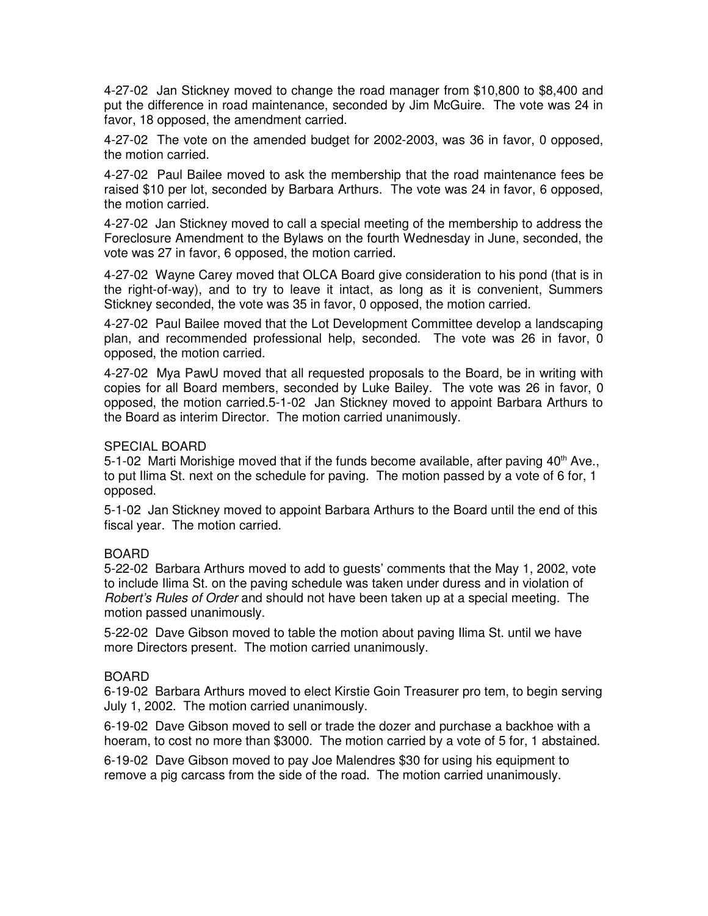4-27-02 Jan Stickney moved to change the road manager from \$10,800 to \$8,400 and put the difference in road maintenance, seconded by Jim McGuire. The vote was 24 in favor, 18 opposed, the amendment carried.

4-27-02 The vote on the amended budget for 2002-2003, was 36 in favor, 0 opposed, the motion carried.

4-27-02 Paul Bailee moved to ask the membership that the road maintenance fees be raised \$10 per lot, seconded by Barbara Arthurs. The vote was 24 in favor, 6 opposed, the motion carried.

4-27-02 Jan Stickney moved to call a special meeting of the membership to address the Foreclosure Amendment to the Bylaws on the fourth Wednesday in June, seconded, the vote was 27 in favor, 6 opposed, the motion carried.

4-27-02 Wayne Carey moved that OLCA Board give consideration to his pond (that is in the right-of-way), and to try to leave it intact, as long as it is convenient, Summers Stickney seconded, the vote was 35 in favor, 0 opposed, the motion carried.

4-27-02 Paul Bailee moved that the Lot Development Committee develop a landscaping plan, and recommended professional help, seconded. The vote was 26 in favor, 0 opposed, the motion carried.

4-27-02 Mya PawU moved that all requested proposals to the Board, be in writing with copies for all Board members, seconded by Luke Bailey. The vote was 26 in favor, 0 opposed, the motion carried.5-1-02 Jan Stickney moved to appoint Barbara Arthurs to the Board as interim Director. The motion carried unanimously.

### SPECIAL BOARD

5-1-02 Marti Morishige moved that if the funds become available, after paving  $40<sup>th</sup>$  Ave., to put Ilima St. next on the schedule for paving. The motion passed by a vote of 6 for, 1 opposed.

5-1-02 Jan Stickney moved to appoint Barbara Arthurs to the Board until the end of this fiscal year. The motion carried.

# BOARD

5-22-02 Barbara Arthurs moved to add to guests' comments that the May 1, 2002, vote to include Ilima St. on the paving schedule was taken under duress and in violation of Robert's Rules of Order and should not have been taken up at a special meeting. The motion passed unanimously.

5-22-02 Dave Gibson moved to table the motion about paving Ilima St. until we have more Directors present. The motion carried unanimously.

#### BOARD

6-19-02 Barbara Arthurs moved to elect Kirstie Goin Treasurer pro tem, to begin serving July 1, 2002. The motion carried unanimously.

6-19-02 Dave Gibson moved to sell or trade the dozer and purchase a backhoe with a hoeram, to cost no more than \$3000. The motion carried by a vote of 5 for, 1 abstained.

6-19-02 Dave Gibson moved to pay Joe Malendres \$30 for using his equipment to remove a pig carcass from the side of the road. The motion carried unanimously.